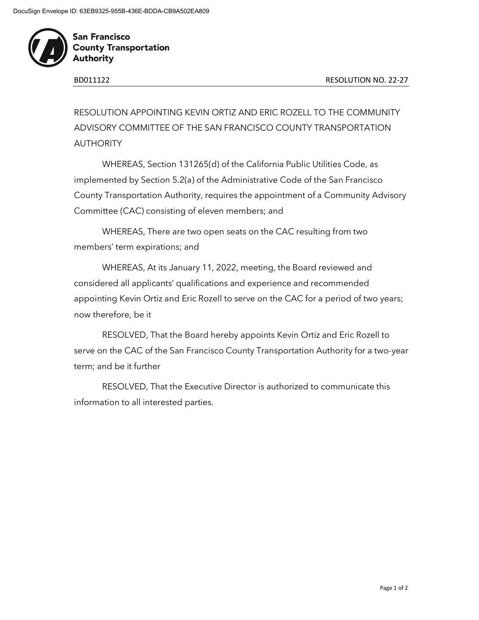

**San Francisco County Transportation Authority** 

RESOLUTION APPOINTING KEVIN ORTIZ AND ERIC ROZELL TO THE COMMUNITY ADVISORY COMMITTEE OF THE SAN FRANCISCO COUNTY TRANSPORTATION AUTHORITY

WHEREAS, Section 131265(d) of the California Public Utilities Code, as implemented by Section 5.2(a) of the Administrative Code of the San Francisco County Transportation Authority, requires the appointment of a Community Advisory Committee (CAC) consisting of eleven members; and

WHEREAS, There are two open seats on the CAC resulting from two members' term expirations; and

WHEREAS, At its January 11, 2022, meeting, the Board reviewed and considered all applicants' qualifications and experience and recommended appointing Kevin Ortiz and Eric Rozell to serve on the CAC for a period of two years; now therefore, be it

RESOLVED, That the Board hereby appoints Kevin Ortiz and Eric Rozell to serve on the CAC of the San Francisco County Transportation Authority for a two-year term; and be it further

RESOLVED, That the Executive Director is authorized to communicate this information to all interested parties.